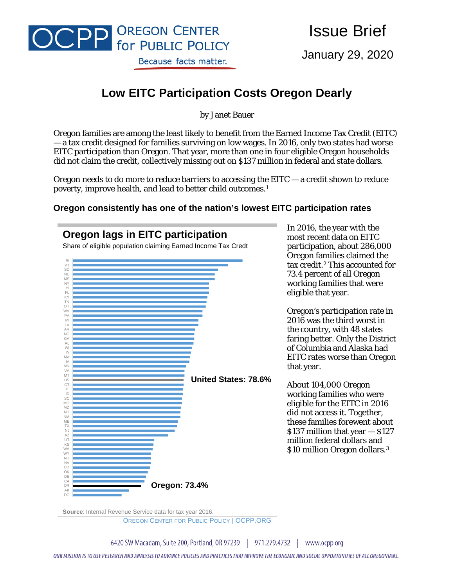

Issue Brief

January 29, 2020

# **Low EITC Participation Costs Oregon Dearly**

by Janet Bauer

Oregon families are among the least likely to benefit from the Earned Income Tax Credit (EITC) — a tax credit designed for families surviving on low wages. In 2016, only two states had worse EITC participation than Oregon. That year, more than one in four eligible Oregon households did not claim the credit, collectively missing out on \$137 million in federal and state dollars.

Oregon needs to do more to reduce barriers to accessing the EITC — a credit shown to reduce poverty, improve health, and lead to better child outcomes.[1](#page-2-0)

#### **Oregon consistently has one of the nation's lowest EITC participation rates**



**Source**: Internal Revenue Service data for tax year 2016. OREGON CENTER FOR PUBLIC POLICY | OCPP.ORG

6420 SW Macadam, Suite 200, Portland, OR 97239 | 971.279.4732 | www.ocpp.org

OUR MISSION IS TO USE RESEARCH AND ANALYSIS TO ADVANCE POLICIES AND PRACTICES THAT IMPROVE THE ECONOMIC AND SOCIAL OPPORTUNITIES OF ALL OREGONIANS.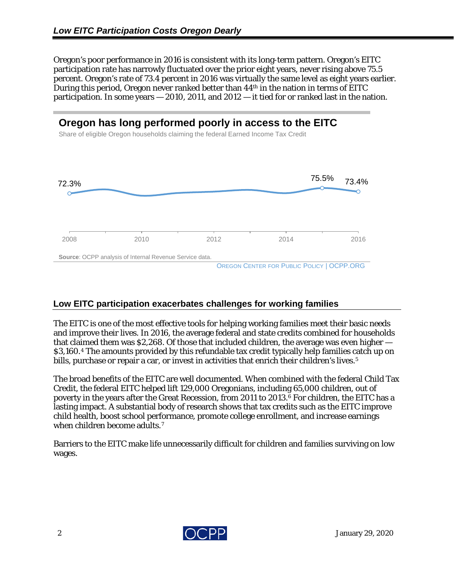Oregon's poor performance in 2016 is consistent with its long-term pattern. Oregon's EITC participation rate has narrowly fluctuated over the prior eight years, never rising above 75.5 percent. Oregon's rate of 73.4 percent in 2016 was virtually the same level as eight years earlier. During this period, Oregon never ranked better than 44th in the nation in terms of EITC participation. In some years — 2010, 2011, and 2012 — it tied for or ranked last in the nation.

## **Oregon has long performed poorly in access to the EITC**

Share of eligible Oregon households claiming the federal Earned Income Tax Credit



## **Low EITC participation exacerbates challenges for working families**

The EITC is one of the most effective tools for helping working families meet their basic needs and improve their lives. In 2016, the average federal and state credits combined for households that claimed them was \$2,268. Of those that included children, the average was even higher — \$3,160.[4](#page-3-2) The amounts provided by this refundable tax credit typically help families catch up on bills, purchase or repair a car, or invest in activities that enrich their children's lives.<sup>5</sup>

The broad benefits of the EITC are well documented. When combined with the federal Child Tax Credit, the federal EITC helped lift 129,000 Oregonians, including 65,000 children, out of poverty in the years after the Great Recession, from 2011 to 2013.<sup>[6](#page-3-4)</sup> For children, the EITC has a lasting impact. A substantial body of research shows that tax credits such as the EITC improve child health, boost school performance, promote college enrollment, and increase earnings when children become adults.<sup>7</sup>

Barriers to the EITC make life unnecessarily difficult for children and families surviving on low wages.

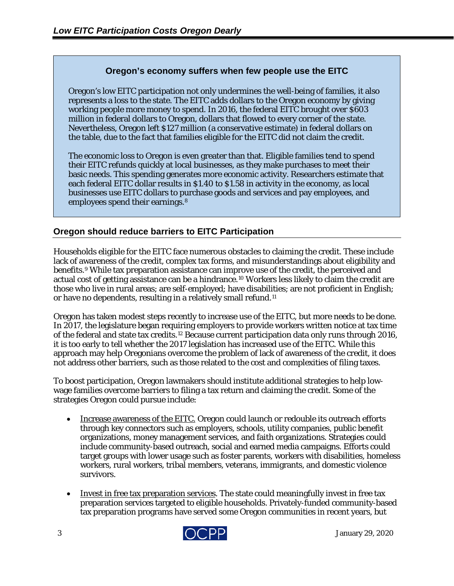#### **Oregon's economy suffers when few people use the EITC**

Oregon's low EITC participation not only undermines the well-being of families, it also represents a loss to the state. The EITC adds dollars to the Oregon economy by giving working people more money to spend. In 2016, the federal EITC brought over \$603 million in federal dollars to Oregon, dollars that flowed to every corner of the state. Nevertheless, Oregon left \$127 million (a conservative estimate) in federal dollars on the table, due to the fact that families eligible for the EITC did not claim the credit.

The economic loss to Oregon is even greater than that. Eligible families tend to spend their EITC refunds quickly at local businesses, as they make purchases to meet their basic needs. This spending generates more economic activity. Researchers estimate that each federal EITC dollar results in \$1.40 to \$1.58 in activity in the economy, as local businesses use EITC dollars to purchase goods and services and pay employees, and employees spend their earnings.<sup>[8](#page-3-6)</sup>

## **Oregon should reduce barriers to EITC Participation**

Households eligible for the EITC face numerous obstacles to claiming the credit. These include lack of awareness of the credit, complex tax forms, and misunderstandings about eligibility and benefits.<sup>[9](#page-3-7)</sup> While tax preparation assistance can improve use of the credit, the perceived and actual cost of getting assistance can be a hindrance.[10](#page-3-8) Workers less likely to claim the credit are those who live in rural areas; are self-employed; have disabilities; are not proficient in English; or have no dependents, resulting in a relatively small refund.[11](#page-3-9) 

Oregon has taken modest steps recently to increase use of the EITC, but more needs to be done. In 2017, the legislature began requiring employers to provide workers written notice at tax time of the federal and state tax credits.[12](#page-3-10) Because current participation data only runs through 2016, it is too early to tell whether the 2017 legislation has increased use of the EITC. While this approach may help Oregonians overcome the problem of lack of awareness of the credit, it does not address other barriers, such as those related to the cost and complexities of filing taxes.

To boost participation, Oregon lawmakers should institute additional strategies to help lowwage families overcome barriers to filing a tax return and claiming the credit. Some of the strategies Oregon could pursue include:

- Increase awareness of the EITC. Oregon could launch or redouble its outreach efforts through key connectors such as employers, schools, utility companies, public benefit organizations, money management services, and faith organizations. Strategies could include community-based outreach, social and earned media campaigns. Efforts could target groups with lower usage such as foster parents, workers with disabilities, homeless workers, rural workers, tribal members, veterans, immigrants, and domestic violence survivors.
- <span id="page-2-0"></span>• Invest in free tax preparation services. The state could meaningfully invest in free tax preparation services targeted to eligible households. Privately-funded community-based tax preparation programs have served some Oregon communities in recent years, but

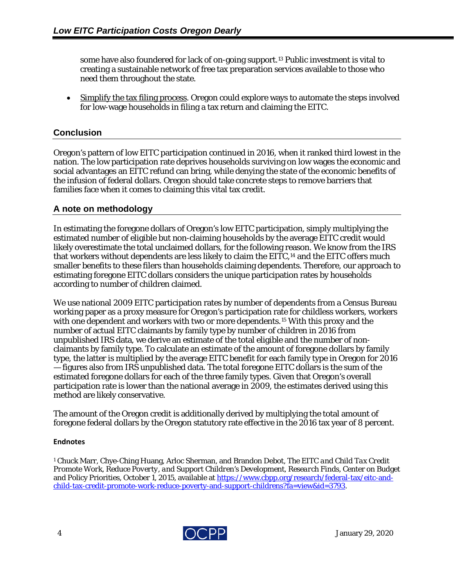some have also foundered for lack of on-going support.<sup>[13](#page-3-11)</sup> Public investment is vital to creating a sustainable network of free tax preparation services available to those who need them throughout the state.

<span id="page-3-0"></span>• Simplify the tax filing process. Oregon could explore ways to automate the steps involved for low-wage households in filing a tax return and claiming the EITC.

#### <span id="page-3-3"></span><span id="page-3-2"></span><span id="page-3-1"></span>**Conclusion**

<span id="page-3-5"></span><span id="page-3-4"></span>Oregon's pattern of low EITC participation continued in 2016, when it ranked third lowest in the nation. The low participation rate deprives households surviving on low wages the economic and social advantages an EITC refund can bring, while denying the state of the economic benefits of the infusion of federal dollars. Oregon should take concrete steps to remove barriers that families face when it comes to claiming this vital tax credit.

#### <span id="page-3-6"></span>**A note on methodology**

<span id="page-3-7"></span>In estimating the foregone dollars of Oregon's low EITC participation, simply multiplying the estimated number of eligible but non-claiming households by the average EITC credit would likely overestimate the total unclaimed dollars, for the following reason. We know from the IRS that workers without dependents are less likely to claim the EITC,<sup>[14](#page-3-12)</sup> and the EITC offers much smaller benefits to these filers than households claiming dependents. Therefore, our approach to estimating foregone EITC dollars considers the unique participation rates by households according to number of children claimed.

<span id="page-3-8"></span>We use national 2009 EITC participation rates by number of dependents from a Census Bureau working paper as a proxy measure for Oregon's participation rate for childless workers, workers with one dependent and workers with two or more dependents.[15](#page-3-13) With this proxy and the number of actual EITC claimants by family type by number of children in 2016 from unpublished IRS data, we derive an estimate of the total eligible and the number of nonclaimants by family type. To calculate an estimate of the amount of foregone dollars by family type, the latter is multiplied by the average EITC benefit for each family type in Oregon for 2016 — figures also from IRS unpublished data. The total foregone EITC dollars is the sum of the estimated foregone dollars for each of the three family types. Given that Oregon's overall participation rate is lower than the national average in 2009, the estimates derived using this method are likely conservative.

<span id="page-3-11"></span><span id="page-3-10"></span><span id="page-3-9"></span>The amount of the Oregon credit is additionally derived by multiplying the total amount of foregone federal dollars by the Oregon statutory rate effective in the 2016 tax year of 8 percent.

#### <span id="page-3-13"></span><span id="page-3-12"></span>**Endnotes**

<sup>1</sup> Chuck Marr, Chye-Ching Huang, Arloc Sherman, and Brandon Debot, *The EITC and Child Tax Credit Promote Work, Reduce Poverty, and Support Children's Development, Research Finds,* Center on Budget and Policy Priorities, October 1, 2015, available at [https://www.cbpp.org/research/federal-tax/eitc-and](https://www.cbpp.org/research/federal-tax/eitc-and-child-tax-credit-promote-work-reduce-poverty-and-support-childrens?fa=view&id=3793)[child-tax-credit-promote-work-reduce-poverty-and-support-childrens?fa=view&id=3793.](https://www.cbpp.org/research/federal-tax/eitc-and-child-tax-credit-promote-work-reduce-poverty-and-support-childrens?fa=view&id=3793)